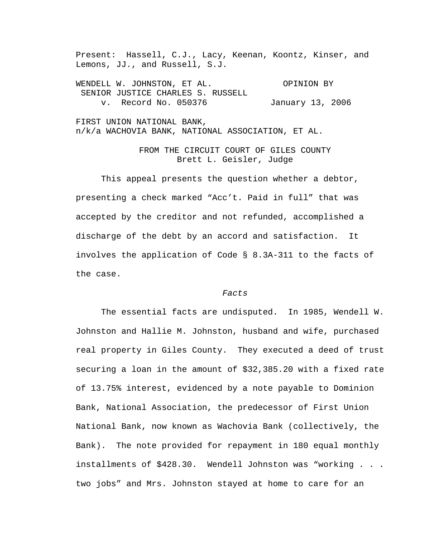Present: Hassell, C.J., Lacy, Keenan, Koontz, Kinser, and Lemons, JJ., and Russell, S.J.

WENDELL W. JOHNSTON, ET AL. 60 OPINION BY SENIOR JUSTICE CHARLES S. RUSSELL v. Record No. 050376 January 13, 2006

FIRST UNION NATIONAL BANK, n/k/a WACHOVIA BANK, NATIONAL ASSOCIATION, ET AL.

# FROM THE CIRCUIT COURT OF GILES COUNTY Brett L. Geisler, Judge

 This appeal presents the question whether a debtor, presenting a check marked "Acc't. Paid in full" that was accepted by the creditor and not refunded, accomplished a discharge of the debt by an accord and satisfaction. It involves the application of Code § 8.3A-311 to the facts of the case.

### *Facts*

 The essential facts are undisputed. In 1985, Wendell W. Johnston and Hallie M. Johnston, husband and wife, purchased real property in Giles County. They executed a deed of trust securing a loan in the amount of \$32,385.20 with a fixed rate of 13.75% interest, evidenced by a note payable to Dominion Bank, National Association, the predecessor of First Union National Bank, now known as Wachovia Bank (collectively, the Bank). The note provided for repayment in 180 equal monthly installments of \$428.30. Wendell Johnston was "working . . . two jobs" and Mrs. Johnston stayed at home to care for an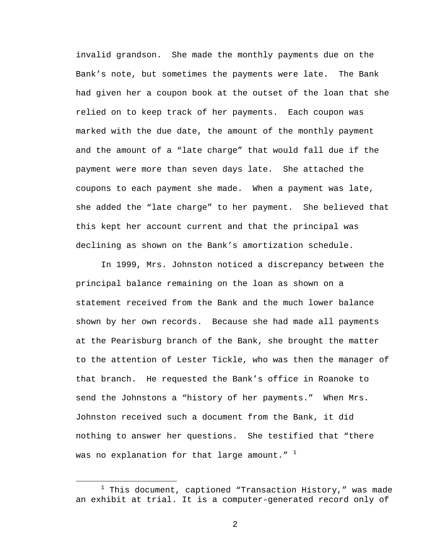invalid grandson. She made the monthly payments due on the Bank's note, but sometimes the payments were late. The Bank had given her a coupon book at the outset of the loan that she relied on to keep track of her payments. Each coupon was marked with the due date, the amount of the monthly payment and the amount of a "late charge" that would fall due if the payment were more than seven days late. She attached the coupons to each payment she made. When a payment was late, she added the "late charge" to her payment. She believed that this kept her account current and that the principal was declining as shown on the Bank's amortization schedule.

 In 1999, Mrs. Johnston noticed a discrepancy between the principal balance remaining on the loan as shown on a statement received from the Bank and the much lower balance shown by her own records. Because she had made all payments at the Pearisburg branch of the Bank, she brought the matter to the attention of Lester Tickle, who was then the manager of that branch. He requested the Bank's office in Roanoke to send the Johnstons a "history of her payments." When Mrs. Johnston received such a document from the Bank, it did nothing to answer her questions. She testified that "there was no explanation for that large amount."  $1$ 

 $\begin{array}{c|c}\n\hline\n\text{1}\n\end{array}$  $1$  This document, captioned "Transaction History," was made an exhibit at trial. It is a computer-generated record only of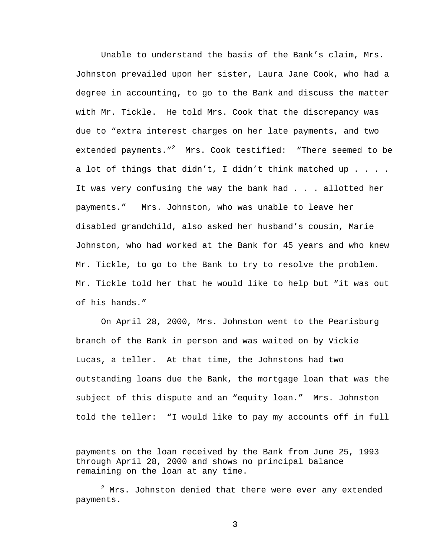Unable to understand the basis of the Bank's claim, Mrs. Johnston prevailed upon her sister, Laura Jane Cook, who had a degree in accounting, to go to the Bank and discuss the matter with Mr. Tickle. He told Mrs. Cook that the discrepancy was due to "extra interest charges on her late payments, and two extended payments."<sup>2</sup> Mrs. Cook testified: "There seemed to be a lot of things that didn't, I didn't think matched up . . . . It was very confusing the way the bank had . . . allotted her payments." Mrs. Johnston, who was unable to leave her disabled grandchild, also asked her husband's cousin, Marie Johnston, who had worked at the Bank for 45 years and who knew Mr. Tickle, to go to the Bank to try to resolve the problem. Mr. Tickle told her that he would like to help but "it was out of his hands."

 On April 28, 2000, Mrs. Johnston went to the Pearisburg branch of the Bank in person and was waited on by Vickie Lucas, a teller. At that time, the Johnstons had two outstanding loans due the Bank, the mortgage loan that was the subject of this dispute and an "equity loan." Mrs. Johnston told the teller: "I would like to pay my accounts off in full

payments on the loan received by the Bank from June 25, 1993 through April 28, 2000 and shows no principal balance remaining on the loan at any time.

i<br>Li

 $^2$  Mrs. Johnston denied that there were ever any extended payments.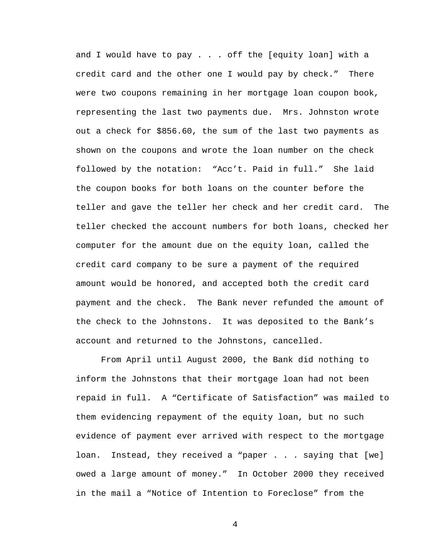and I would have to pay . . . off the [equity loan] with a credit card and the other one I would pay by check." There were two coupons remaining in her mortgage loan coupon book, representing the last two payments due. Mrs. Johnston wrote out a check for \$856.60, the sum of the last two payments as shown on the coupons and wrote the loan number on the check followed by the notation: "Acc't. Paid in full." She laid the coupon books for both loans on the counter before the teller and gave the teller her check and her credit card. The teller checked the account numbers for both loans, checked her computer for the amount due on the equity loan, called the credit card company to be sure a payment of the required amount would be honored, and accepted both the credit card payment and the check. The Bank never refunded the amount of the check to the Johnstons. It was deposited to the Bank's account and returned to the Johnstons, cancelled.

 From April until August 2000, the Bank did nothing to inform the Johnstons that their mortgage loan had not been repaid in full. A "Certificate of Satisfaction" was mailed to them evidencing repayment of the equity loan, but no such evidence of payment ever arrived with respect to the mortgage loan. Instead, they received a "paper . . . saying that [we] owed a large amount of money." In October 2000 they received in the mail a "Notice of Intention to Foreclose" from the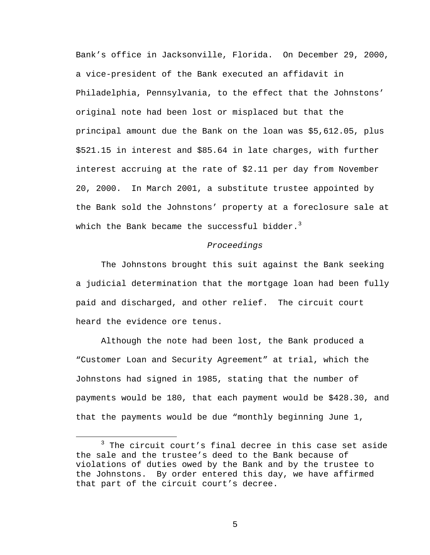Bank's office in Jacksonville, Florida. On December 29, 2000, a vice-president of the Bank executed an affidavit in Philadelphia, Pennsylvania, to the effect that the Johnstons' original note had been lost or misplaced but that the principal amount due the Bank on the loan was \$5,612.05, plus \$521.15 in interest and \$85.64 in late charges, with further interest accruing at the rate of \$2.11 per day from November 20, 2000. In March 2001, a substitute trustee appointed by the Bank sold the Johnstons' property at a foreclosure sale at which the Bank became the successful bidder. $3$ 

### *Proceedings*

 The Johnstons brought this suit against the Bank seeking a judicial determination that the mortgage loan had been fully paid and discharged, and other relief. The circuit court heard the evidence ore tenus.

 Although the note had been lost, the Bank produced a "Customer Loan and Security Agreement" at trial, which the Johnstons had signed in 1985, stating that the number of payments would be 180, that each payment would be \$428.30, and that the payments would be due "monthly beginning June 1,

 $\overline{\phantom{a}}$  3  $3$  The circuit court's final decree in this case set aside the sale and the trustee's deed to the Bank because of violations of duties owed by the Bank and by the trustee to the Johnstons. By order entered this day, we have affirmed that part of the circuit court's decree.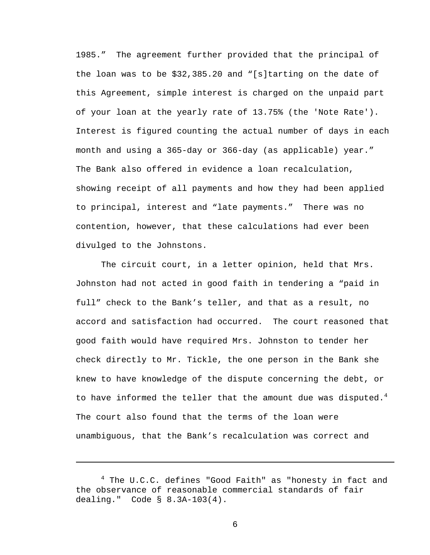1985." The agreement further provided that the principal of the loan was to be \$32,385.20 and "[s]tarting on the date of this Agreement, simple interest is charged on the unpaid part of your loan at the yearly rate of 13.75% (the 'Note Rate'). Interest is figured counting the actual number of days in each month and using a 365-day or 366-day (as applicable) year." The Bank also offered in evidence a loan recalculation, showing receipt of all payments and how they had been applied to principal, interest and "late payments." There was no contention, however, that these calculations had ever been divulged to the Johnstons.

 The circuit court, in a letter opinion, held that Mrs. Johnston had not acted in good faith in tendering a "paid in full" check to the Bank's teller, and that as a result, no accord and satisfaction had occurred. The court reasoned that good faith would have required Mrs. Johnston to tender her check directly to Mr. Tickle, the one person in the Bank she knew to have knowledge of the dispute concerning the debt, or to have informed the teller that the amount due was disputed.<sup>4</sup> The court also found that the terms of the loan were unambiguous, that the Bank's recalculation was correct and

 $\overline{\phantom{0}}$ 

<sup>&</sup>lt;sup>4</sup> The U.C.C. defines "Good Faith" as "honesty in fact and the observance of reasonable commercial standards of fair dealing." Code § 8.3A-103(4).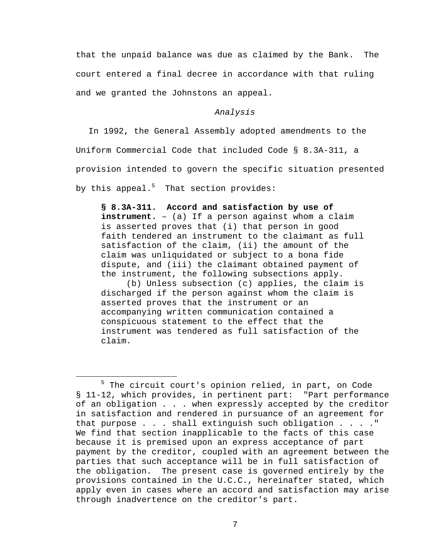that the unpaid balance was due as claimed by the Bank. The court entered a final decree in accordance with that ruling and we granted the Johnstons an appeal.

### *Analysis*

In 1992, the General Assembly adopted amendments to the

Uniform Commercial Code that included Code § 8.3A-311, a

provision intended to govern the specific situation presented

by this appeal. $^5$  That section provides:

**§ 8.3A-311. Accord and satisfaction by use of instrument.** – (a) If a person against whom a claim is asserted proves that (i) that person in good faith tendered an instrument to the claimant as full satisfaction of the claim, (ii) the amount of the claim was unliquidated or subject to a bona fide dispute, and (iii) the claimant obtained payment of the instrument, the following subsections apply.

 (b) Unless subsection (c) applies, the claim is discharged if the person against whom the claim is asserted proves that the instrument or an accompanying written communication contained a conspicuous statement to the effect that the instrument was tendered as full satisfaction of the claim.

 $\frac{1}{5}$  $5$  The circuit court's opinion relied, in part, on Code § 11-12, which provides, in pertinent part: "Part performance of an obligation . . . when expressly accepted by the creditor in satisfaction and rendered in pursuance of an agreement for that purpose . . . shall extinguish such obligation . . . ." We find that section inapplicable to the facts of this case because it is premised upon an express acceptance of part payment by the creditor, coupled with an agreement between the parties that such acceptance will be in full satisfaction of the obligation. The present case is governed entirely by the provisions contained in the U.C.C., hereinafter stated, which apply even in cases where an accord and satisfaction may arise through inadvertence on the creditor's part.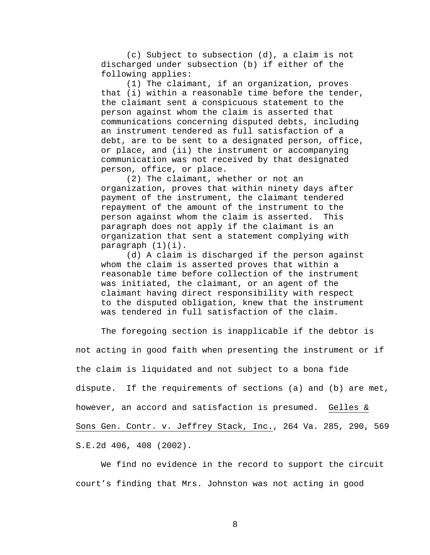(c) Subject to subsection (d), a claim is not discharged under subsection (b) if either of the following applies:

 (1) The claimant, if an organization, proves that (i) within a reasonable time before the tender, the claimant sent a conspicuous statement to the person against whom the claim is asserted that communications concerning disputed debts, including an instrument tendered as full satisfaction of a debt, are to be sent to a designated person, office, or place, and (ii) the instrument or accompanying communication was not received by that designated person, office, or place.

 (2) The claimant, whether or not an organization, proves that within ninety days after payment of the instrument, the claimant tendered repayment of the amount of the instrument to the person against whom the claim is asserted. This paragraph does not apply if the claimant is an organization that sent a statement complying with paragraph (1)(i).

 (d) A claim is discharged if the person against whom the claim is asserted proves that within a reasonable time before collection of the instrument was initiated, the claimant, or an agent of the claimant having direct responsibility with respect to the disputed obligation, knew that the instrument was tendered in full satisfaction of the claim.

 The foregoing section is inapplicable if the debtor is not acting in good faith when presenting the instrument or if the claim is liquidated and not subject to a bona fide dispute. If the requirements of sections (a) and (b) are met, however, an accord and satisfaction is presumed. Gelles & Sons Gen. Contr. v. Jeffrey Stack, Inc., 264 Va. 285, 290, 569 S.E.2d 406, 408 (2002).

We find no evidence in the record to support the circuit court's finding that Mrs. Johnston was not acting in good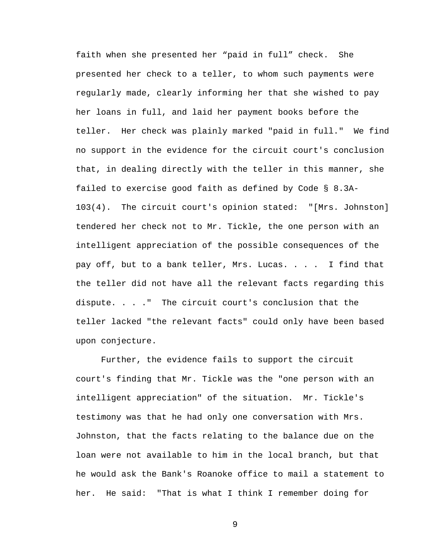faith when she presented her "paid in full" check. She presented her check to a teller, to whom such payments were regularly made, clearly informing her that she wished to pay her loans in full, and laid her payment books before the teller. Her check was plainly marked "paid in full." We find no support in the evidence for the circuit court's conclusion that, in dealing directly with the teller in this manner, she failed to exercise good faith as defined by Code § 8.3A-103(4). The circuit court's opinion stated: "[Mrs. Johnston] tendered her check not to Mr. Tickle, the one person with an intelligent appreciation of the possible consequences of the pay off, but to a bank teller, Mrs. Lucas. . . . I find that the teller did not have all the relevant facts regarding this dispute. . . ." The circuit court's conclusion that the teller lacked "the relevant facts" could only have been based upon conjecture.

 Further, the evidence fails to support the circuit court's finding that Mr. Tickle was the "one person with an intelligent appreciation" of the situation. Mr. Tickle's testimony was that he had only one conversation with Mrs. Johnston, that the facts relating to the balance due on the loan were not available to him in the local branch, but that he would ask the Bank's Roanoke office to mail a statement to her. He said: "That is what I think I remember doing for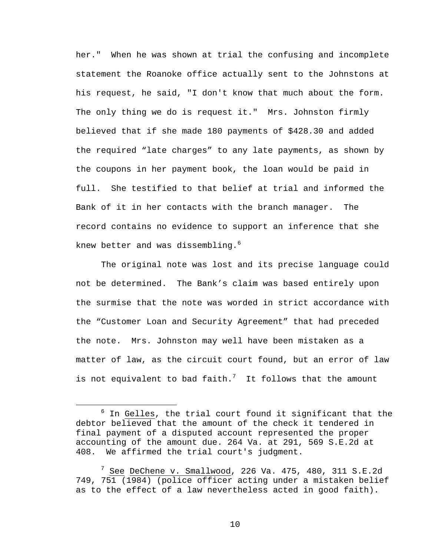her." When he was shown at trial the confusing and incomplete statement the Roanoke office actually sent to the Johnstons at his request, he said, "I don't know that much about the form. The only thing we do is request it." Mrs. Johnston firmly believed that if she made 180 payments of \$428.30 and added the required "late charges" to any late payments, as shown by the coupons in her payment book, the loan would be paid in full. She testified to that belief at trial and informed the Bank of it in her contacts with the branch manager. The record contains no evidence to support an inference that she knew better and was dissembling. $^6$ 

 The original note was lost and its precise language could not be determined. The Bank's claim was based entirely upon the surmise that the note was worded in strict accordance with the "Customer Loan and Security Agreement" that had preceded the note. Mrs. Johnston may well have been mistaken as a matter of law, as the circuit court found, but an error of law is not equivalent to bad faith. $^7\,$  It follows that the amount

 $\overline{\phantom{0}}$  $6$  In Gelles, the trial court found it significant that the debtor believed that the amount of the check it tendered in final payment of a disputed account represented the proper accounting of the amount due. 264 Va. at 291, 569 S.E.2d at 408. We affirmed the trial court's judgment.

 $^7$  See DeChene v. Smallwood, 226 Va. 475, 480, 311 S.E.2d 749, 751 (1984) (police officer acting under a mistaken belief as to the effect of a law nevertheless acted in good faith).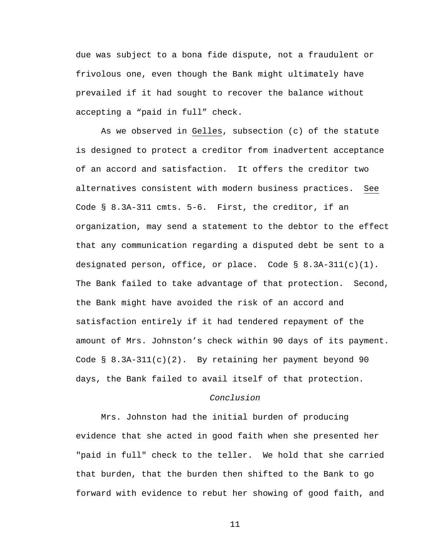due was subject to a bona fide dispute, not a fraudulent or frivolous one, even though the Bank might ultimately have prevailed if it had sought to recover the balance without accepting a "paid in full" check.

 As we observed in Gelles, subsection (c) of the statute is designed to protect a creditor from inadvertent acceptance of an accord and satisfaction. It offers the creditor two alternatives consistent with modern business practices. See Code § 8.3A-311 cmts. 5-6. First, the creditor, if an organization, may send a statement to the debtor to the effect that any communication regarding a disputed debt be sent to a designated person, office, or place. Code  $\S$  8.3A-311(c)(1). The Bank failed to take advantage of that protection. Second, the Bank might have avoided the risk of an accord and satisfaction entirely if it had tendered repayment of the amount of Mrs. Johnston's check within 90 days of its payment. Code  $\S$  8.3A-311(c)(2). By retaining her payment beyond 90 days, the Bank failed to avail itself of that protection.

## *Conclusion*

 Mrs. Johnston had the initial burden of producing evidence that she acted in good faith when she presented her "paid in full" check to the teller. We hold that she carried that burden, that the burden then shifted to the Bank to go forward with evidence to rebut her showing of good faith, and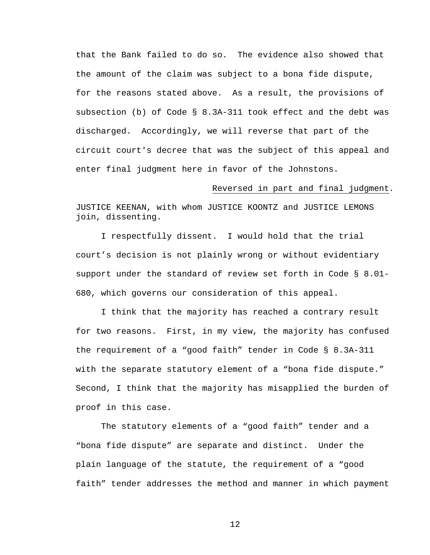that the Bank failed to do so. The evidence also showed that the amount of the claim was subject to a bona fide dispute, for the reasons stated above. As a result, the provisions of subsection (b) of Code § 8.3A-311 took effect and the debt was discharged. Accordingly, we will reverse that part of the circuit court's decree that was the subject of this appeal and enter final judgment here in favor of the Johnstons.

## Reversed in part and final judgment*.*

JUSTICE KEENAN, with whom JUSTICE KOONTZ and JUSTICE LEMONS join, dissenting.

I respectfully dissent. I would hold that the trial court's decision is not plainly wrong or without evidentiary support under the standard of review set forth in Code § 8.01- 680, which governs our consideration of this appeal.

I think that the majority has reached a contrary result for two reasons. First, in my view, the majority has confused the requirement of a "good faith" tender in Code § 8.3A-311 with the separate statutory element of a "bona fide dispute." Second, I think that the majority has misapplied the burden of proof in this case.

The statutory elements of a "good faith" tender and a "bona fide dispute" are separate and distinct. Under the plain language of the statute, the requirement of a "good faith" tender addresses the method and manner in which payment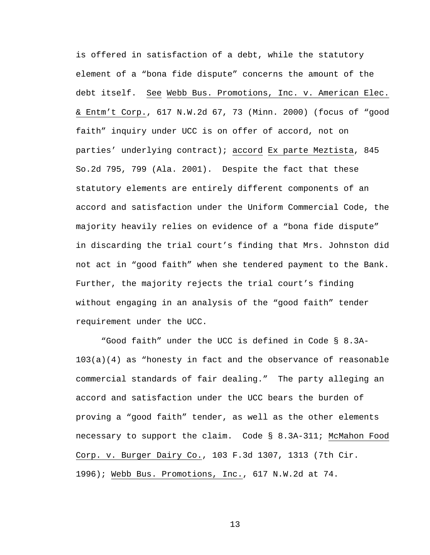is offered in satisfaction of a debt, while the statutory element of a "bona fide dispute" concerns the amount of the debt itself. See Webb Bus. Promotions, Inc. v. American Elec. & Entm't Corp., 617 N.W.2d 67, 73 (Minn. 2000) (focus of "good faith" inquiry under UCC is on offer of accord, not on parties' underlying contract); accord Ex parte Meztista, 845 So.2d 795, 799 (Ala. 2001). Despite the fact that these statutory elements are entirely different components of an accord and satisfaction under the Uniform Commercial Code, the majority heavily relies on evidence of a "bona fide dispute" in discarding the trial court's finding that Mrs. Johnston did not act in "good faith" when she tendered payment to the Bank. Further, the majority rejects the trial court's finding without engaging in an analysis of the "good faith" tender requirement under the UCC.

 "Good faith" under the UCC is defined in Code § 8.3A-103(a)(4) as "honesty in fact and the observance of reasonable commercial standards of fair dealing." The party alleging an accord and satisfaction under the UCC bears the burden of proving a "good faith" tender, as well as the other elements necessary to support the claim. Code § 8.3A-311; McMahon Food Corp. v. Burger Dairy Co., 103 F.3d 1307, 1313 (7th Cir. 1996); Webb Bus. Promotions, Inc., 617 N.W.2d at 74.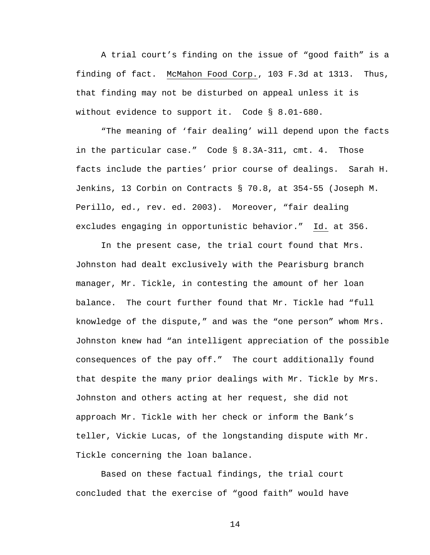A trial court's finding on the issue of "good faith" is a finding of fact. McMahon Food Corp., 103 F.3d at 1313. Thus, that finding may not be disturbed on appeal unless it is without evidence to support it. Code § 8.01-680.

 "The meaning of 'fair dealing' will depend upon the facts in the particular case." Code § 8.3A-311, cmt. 4. Those facts include the parties' prior course of dealings. Sarah H. Jenkins, 13 Corbin on Contracts § 70.8, at 354-55 (Joseph M. Perillo, ed., rev. ed. 2003). Moreover, "fair dealing excludes engaging in opportunistic behavior." Id. at 356.

In the present case, the trial court found that Mrs. Johnston had dealt exclusively with the Pearisburg branch manager, Mr. Tickle, in contesting the amount of her loan balance. The court further found that Mr. Tickle had "full knowledge of the dispute," and was the "one person" whom Mrs. Johnston knew had "an intelligent appreciation of the possible consequences of the pay off." The court additionally found that despite the many prior dealings with Mr. Tickle by Mrs. Johnston and others acting at her request, she did not approach Mr. Tickle with her check or inform the Bank's teller, Vickie Lucas, of the longstanding dispute with Mr. Tickle concerning the loan balance.

 Based on these factual findings, the trial court concluded that the exercise of "good faith" would have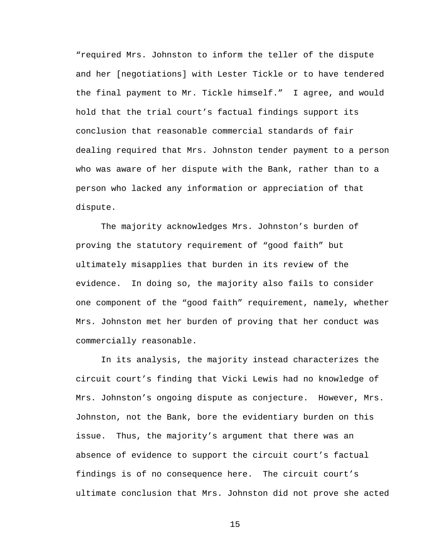"required Mrs. Johnston to inform the teller of the dispute and her [negotiations] with Lester Tickle or to have tendered the final payment to Mr. Tickle himself." I agree, and would hold that the trial court's factual findings support its conclusion that reasonable commercial standards of fair dealing required that Mrs. Johnston tender payment to a person who was aware of her dispute with the Bank, rather than to a person who lacked any information or appreciation of that dispute.

 The majority acknowledges Mrs. Johnston's burden of proving the statutory requirement of "good faith" but ultimately misapplies that burden in its review of the evidence. In doing so, the majority also fails to consider one component of the "good faith" requirement, namely, whether Mrs. Johnston met her burden of proving that her conduct was commercially reasonable.

In its analysis, the majority instead characterizes the circuit court's finding that Vicki Lewis had no knowledge of Mrs. Johnston's ongoing dispute as conjecture. However, Mrs. Johnston, not the Bank, bore the evidentiary burden on this issue. Thus, the majority's argument that there was an absence of evidence to support the circuit court's factual findings is of no consequence here. The circuit court's ultimate conclusion that Mrs. Johnston did not prove she acted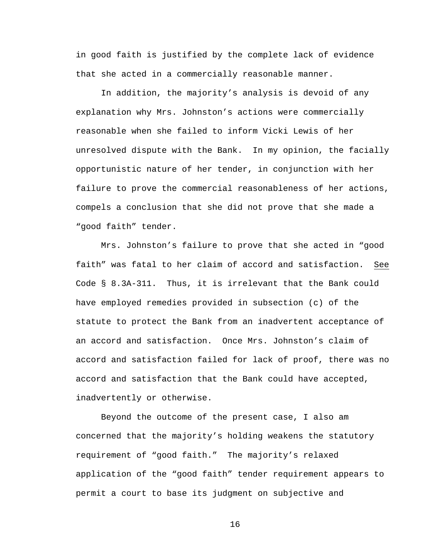in good faith is justified by the complete lack of evidence that she acted in a commercially reasonable manner.

In addition, the majority's analysis is devoid of any explanation why Mrs. Johnston's actions were commercially reasonable when she failed to inform Vicki Lewis of her unresolved dispute with the Bank. In my opinion, the facially opportunistic nature of her tender, in conjunction with her failure to prove the commercial reasonableness of her actions, compels a conclusion that she did not prove that she made a "good faith" tender.

Mrs. Johnston's failure to prove that she acted in "good faith" was fatal to her claim of accord and satisfaction. See Code § 8.3A-311. Thus, it is irrelevant that the Bank could have employed remedies provided in subsection (c) of the statute to protect the Bank from an inadvertent acceptance of an accord and satisfaction. Once Mrs. Johnston's claim of accord and satisfaction failed for lack of proof, there was no accord and satisfaction that the Bank could have accepted, inadvertently or otherwise.

Beyond the outcome of the present case, I also am concerned that the majority's holding weakens the statutory requirement of "good faith." The majority's relaxed application of the "good faith" tender requirement appears to permit a court to base its judgment on subjective and